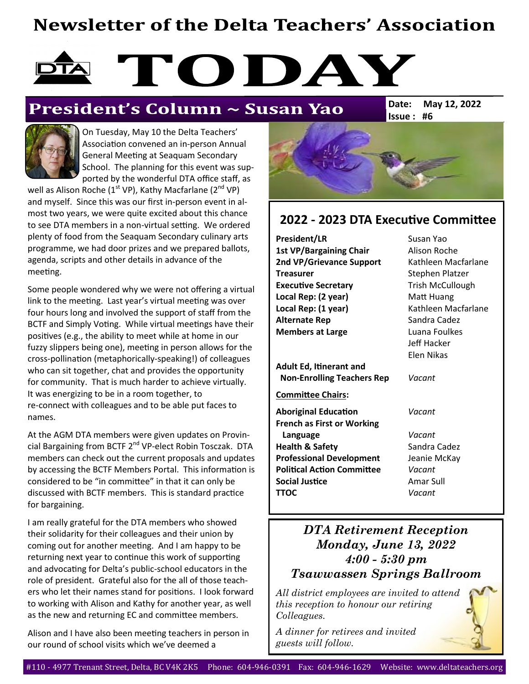## **Newsletter of the Delta Teachers' Association**

# TODAY

### President's Column ~ Susan Yao

**Issue : #6 Date: May 12, 2022**



On Tuesday, May 10 the Delta Teachers' Association convened an in-person Annual General Meeting at Seaquam Secondary School. The planning for this event was supported by the wonderful DTA office staff, as

well as Alison Roche ( $1^{st}$  VP), Kathy Macfarlane ( $2^{nd}$  VP) and myself. Since this was our first in-person event in almost two years, we were quite excited about this chance to see DTA members in a non-virtual setting. We ordered plenty of food from the Seaquam Secondary culinary arts programme, we had door prizes and we prepared ballots, agenda, scripts and other details in advance of the meeting.

Some people wondered why we were not offering a virtual link to the meeting. Last year's virtual meeting was over four hours long and involved the support of staff from the BCTF and Simply Voting. While virtual meetings have their positives (e.g., the ability to meet while at home in our fuzzy slippers being one), meeting in person allows for the cross-pollination (metaphorically-speaking!) of colleagues who can sit together, chat and provides the opportunity for community. That is much harder to achieve virtually. It was energizing to be in a room together, to re-connect with colleagues and to be able put faces to names.

At the AGM DTA members were given updates on Provincial Bargaining from BCTF 2<sup>nd</sup> VP-elect Robin Tosczak. DTA members can check out the current proposals and updates by accessing the BCTF Members Portal. This information is considered to be "in committee" in that it can only be discussed with BCTF members. This is standard practice for bargaining.

I am really grateful for the DTA members who showed their solidarity for their colleagues and their union by coming out for another meeting. And I am happy to be returning next year to continue this work of supporting and advocating for Delta's public-school educators in the role of president. Grateful also for the all of those teachers who let their names stand for positions. I look forward to working with Alison and Kathy for another year, as well as the new and returning EC and committee members.

Alison and I have also been meeting teachers in person in our round of school visits which we've deemed a



#### **2022 - 2023 DTA Executive Committee**

**President/LR** Susan Yao 1st VP/Bargaining Chair **Alison Roche** 2nd VP/Grievance Support Kathleen Macfarlane **Treasurer** Stephen Platzer **Executive Secretary** Trish McCullough **Local Rep: (2 year)** Matt Huang Local Rep: (1 year) Kathleen Macfarlane **Alternate Rep** Sandra Cadez **Members at Large Luana Foulkes** 

**Adult Ed, Itinerant and Non-Enrolling Teachers Rep** *Vacant*

**Committee Chairs:**

- **Aboriginal Education** *Vacant* **French as First or Working Language** *Vacant* **Health & Safety** Sandra Cadez **Professional Development** Jeanie McKay **Political Action Committee** *Vacant* **Social Justice Amar Sull TTOC** *Vacant*
- Jeff Hacker Elen Nikas

#### *DTA Retirement Reception Monday, June 13, 2022 4:00 - 5:30 pm Tsawwassen Springs Ballroom*

*All district employees are invited to attend this reception to honour our retiring Colleagues.*

*A dinner for retirees and invited guests will follow.*